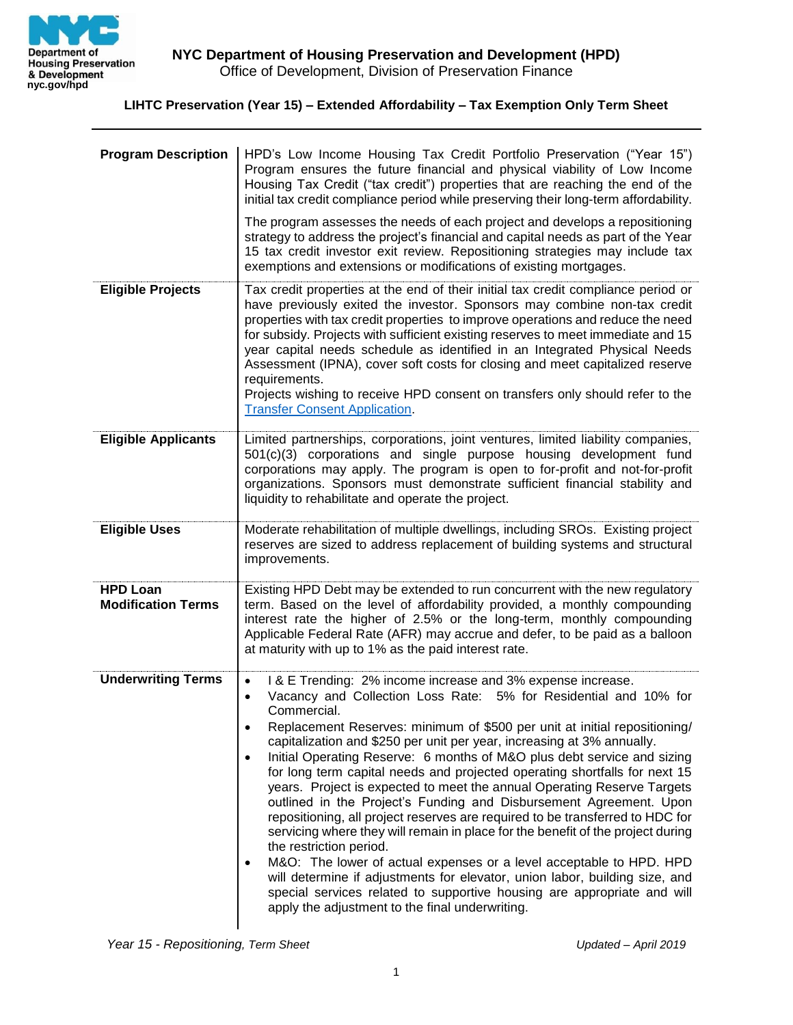

## **LIHTC Preservation (Year 15) – Extended Affordability – Tax Exemption Only Term Sheet**

| <b>Program Description</b>                   | HPD's Low Income Housing Tax Credit Portfolio Preservation ("Year 15")<br>Program ensures the future financial and physical viability of Low Income<br>Housing Tax Credit ("tax credit") properties that are reaching the end of the<br>initial tax credit compliance period while preserving their long-term affordability.<br>The program assesses the needs of each project and develops a repositioning<br>strategy to address the project's financial and capital needs as part of the Year<br>15 tax credit investor exit review. Repositioning strategies may include tax<br>exemptions and extensions or modifications of existing mortgages.                                                                                                                                                                                                                                                                                                                                                                                                                                                                                                               |
|----------------------------------------------|---------------------------------------------------------------------------------------------------------------------------------------------------------------------------------------------------------------------------------------------------------------------------------------------------------------------------------------------------------------------------------------------------------------------------------------------------------------------------------------------------------------------------------------------------------------------------------------------------------------------------------------------------------------------------------------------------------------------------------------------------------------------------------------------------------------------------------------------------------------------------------------------------------------------------------------------------------------------------------------------------------------------------------------------------------------------------------------------------------------------------------------------------------------------|
| <b>Eligible Projects</b>                     | Tax credit properties at the end of their initial tax credit compliance period or<br>have previously exited the investor. Sponsors may combine non-tax credit<br>properties with tax credit properties to improve operations and reduce the need<br>for subsidy. Projects with sufficient existing reserves to meet immediate and 15<br>year capital needs schedule as identified in an Integrated Physical Needs<br>Assessment (IPNA), cover soft costs for closing and meet capitalized reserve<br>requirements.<br>Projects wishing to receive HPD consent on transfers only should refer to the<br><b>Transfer Consent Application</b>                                                                                                                                                                                                                                                                                                                                                                                                                                                                                                                          |
| <b>Eligible Applicants</b>                   | Limited partnerships, corporations, joint ventures, limited liability companies,<br>501(c)(3) corporations and single purpose housing development fund<br>corporations may apply. The program is open to for-profit and not-for-profit<br>organizations. Sponsors must demonstrate sufficient financial stability and<br>liquidity to rehabilitate and operate the project.                                                                                                                                                                                                                                                                                                                                                                                                                                                                                                                                                                                                                                                                                                                                                                                         |
| <b>Eligible Uses</b>                         | Moderate rehabilitation of multiple dwellings, including SROs. Existing project<br>reserves are sized to address replacement of building systems and structural<br>improvements.                                                                                                                                                                                                                                                                                                                                                                                                                                                                                                                                                                                                                                                                                                                                                                                                                                                                                                                                                                                    |
| <b>HPD Loan</b><br><b>Modification Terms</b> | Existing HPD Debt may be extended to run concurrent with the new regulatory<br>term. Based on the level of affordability provided, a monthly compounding<br>interest rate the higher of 2.5% or the long-term, monthly compounding<br>Applicable Federal Rate (AFR) may accrue and defer, to be paid as a balloon<br>at maturity with up to 1% as the paid interest rate.                                                                                                                                                                                                                                                                                                                                                                                                                                                                                                                                                                                                                                                                                                                                                                                           |
| <b>Underwriting Terms</b>                    | I & E Trending: 2% income increase and 3% expense increase.<br>$\bullet$<br>Vacancy and Collection Loss Rate: 5% for Residential and 10% for<br>$\bullet$<br>Commercial.<br>Replacement Reserves: minimum of \$500 per unit at initial repositioning/<br>$\bullet$<br>capitalization and \$250 per unit per year, increasing at 3% annually.<br>Initial Operating Reserve: 6 months of M&O plus debt service and sizing<br>$\bullet$<br>for long term capital needs and projected operating shortfalls for next 15<br>years. Project is expected to meet the annual Operating Reserve Targets<br>outlined in the Project's Funding and Disbursement Agreement. Upon<br>repositioning, all project reserves are required to be transferred to HDC for<br>servicing where they will remain in place for the benefit of the project during<br>the restriction period.<br>M&O: The lower of actual expenses or a level acceptable to HPD. HPD<br>$\bullet$<br>will determine if adjustments for elevator, union labor, building size, and<br>special services related to supportive housing are appropriate and will<br>apply the adjustment to the final underwriting. |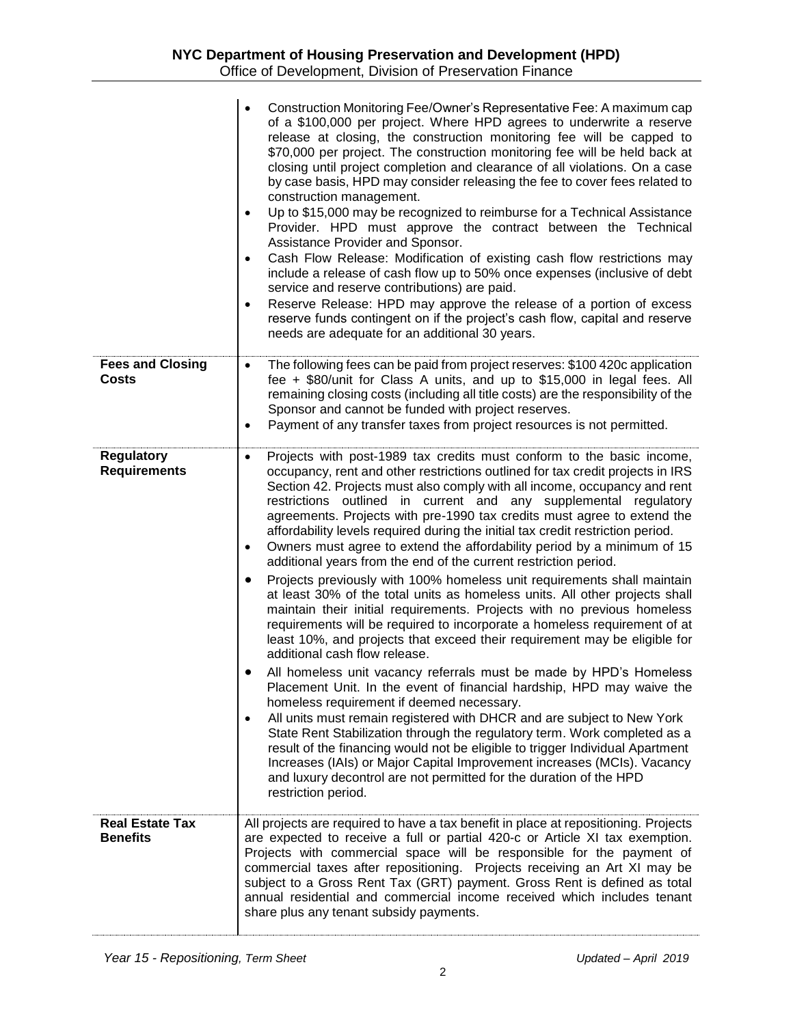|                                           | Construction Monitoring Fee/Owner's Representative Fee: A maximum cap<br>of a \$100,000 per project. Where HPD agrees to underwrite a reserve<br>release at closing, the construction monitoring fee will be capped to<br>\$70,000 per project. The construction monitoring fee will be held back at<br>closing until project completion and clearance of all violations. On a case<br>by case basis, HPD may consider releasing the fee to cover fees related to<br>construction management.<br>Up to \$15,000 may be recognized to reimburse for a Technical Assistance<br>$\bullet$<br>Provider. HPD must approve the contract between the Technical<br>Assistance Provider and Sponsor.<br>Cash Flow Release: Modification of existing cash flow restrictions may<br>$\bullet$<br>include a release of cash flow up to 50% once expenses (inclusive of debt<br>service and reserve contributions) are paid.<br>Reserve Release: HPD may approve the release of a portion of excess<br>٠<br>reserve funds contingent on if the project's cash flow, capital and reserve<br>needs are adequate for an additional 30 years.                                                                                                                                                                                                                                                                                                                                                                                                                                                                                                                                                                             |
|-------------------------------------------|----------------------------------------------------------------------------------------------------------------------------------------------------------------------------------------------------------------------------------------------------------------------------------------------------------------------------------------------------------------------------------------------------------------------------------------------------------------------------------------------------------------------------------------------------------------------------------------------------------------------------------------------------------------------------------------------------------------------------------------------------------------------------------------------------------------------------------------------------------------------------------------------------------------------------------------------------------------------------------------------------------------------------------------------------------------------------------------------------------------------------------------------------------------------------------------------------------------------------------------------------------------------------------------------------------------------------------------------------------------------------------------------------------------------------------------------------------------------------------------------------------------------------------------------------------------------------------------------------------------------------------------------------------------------------------------------------------|
| <b>Fees and Closing</b><br><b>Costs</b>   | The following fees can be paid from project reserves: \$100 420c application<br>$\bullet$<br>fee + \$80/unit for Class A units, and up to \$15,000 in legal fees. All<br>remaining closing costs (including all title costs) are the responsibility of the<br>Sponsor and cannot be funded with project reserves.<br>Payment of any transfer taxes from project resources is not permitted.<br>$\bullet$                                                                                                                                                                                                                                                                                                                                                                                                                                                                                                                                                                                                                                                                                                                                                                                                                                                                                                                                                                                                                                                                                                                                                                                                                                                                                                 |
| <b>Regulatory</b><br><b>Requirements</b>  | Projects with post-1989 tax credits must conform to the basic income,<br>$\bullet$<br>occupancy, rent and other restrictions outlined for tax credit projects in IRS<br>Section 42. Projects must also comply with all income, occupancy and rent<br>restrictions outlined in current and any supplemental regulatory<br>agreements. Projects with pre-1990 tax credits must agree to extend the<br>affordability levels required during the initial tax credit restriction period.<br>Owners must agree to extend the affordability period by a minimum of 15<br>$\bullet$<br>additional years from the end of the current restriction period.<br>Projects previously with 100% homeless unit requirements shall maintain<br>at least 30% of the total units as homeless units. All other projects shall<br>maintain their initial requirements. Projects with no previous homeless<br>requirements will be required to incorporate a homeless requirement of at<br>least 10%, and projects that exceed their requirement may be eligible for<br>additional cash flow release.<br>All homeless unit vacancy referrals must be made by HPD's Homeless<br>Placement Unit. In the event of financial hardship, HPD may waive the<br>homeless requirement if deemed necessary.<br>All units must remain registered with DHCR and are subject to New York<br>$\bullet$<br>State Rent Stabilization through the regulatory term. Work completed as a<br>result of the financing would not be eligible to trigger Individual Apartment<br>Increases (IAIs) or Major Capital Improvement increases (MCIs). Vacancy<br>and luxury decontrol are not permitted for the duration of the HPD<br>restriction period. |
| <b>Real Estate Tax</b><br><b>Benefits</b> | All projects are required to have a tax benefit in place at repositioning. Projects<br>are expected to receive a full or partial 420-c or Article XI tax exemption.<br>Projects with commercial space will be responsible for the payment of<br>commercial taxes after repositioning. Projects receiving an Art XI may be<br>subject to a Gross Rent Tax (GRT) payment. Gross Rent is defined as total<br>annual residential and commercial income received which includes tenant<br>share plus any tenant subsidy payments.                                                                                                                                                                                                                                                                                                                                                                                                                                                                                                                                                                                                                                                                                                                                                                                                                                                                                                                                                                                                                                                                                                                                                                             |